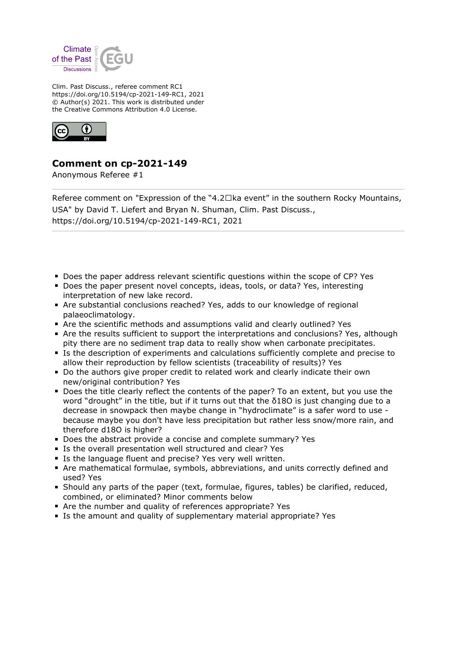

Clim. Past Discuss., referee comment RC1 https://doi.org/10.5194/cp-2021-149-RC1, 2021 © Author(s) 2021. This work is distributed under the Creative Commons Attribution 4.0 License.



## **Comment on cp-2021-149**

Anonymous Referee #1

Referee comment on "Expression of the "4.2 $\Box$ ka event" in the southern Rocky Mountains, USA" by David T. Liefert and Bryan N. Shuman, Clim. Past Discuss., https://doi.org/10.5194/cp-2021-149-RC1, 2021

- **Does the paper address relevant scientific questions within the scope of CP? Yes**
- Does the paper present novel concepts, ideas, tools, or data? Yes, interesting interpretation of new lake record.
- Are substantial conclusions reached? Yes, adds to our knowledge of regional palaeoclimatology.
- Are the scientific methods and assumptions valid and clearly outlined? Yes
- Are the results sufficient to support the interpretations and conclusions? Yes, although pity there are no sediment trap data to really show when carbonate precipitates.
- Is the description of experiments and calculations sufficiently complete and precise to allow their reproduction by fellow scientists (traceability of results)? Yes
- Do the authors give proper credit to related work and clearly indicate their own new/original contribution? Yes
- **Does the title clearly reflect the contents of the paper? To an extent, but you use the** word "drought" in the title, but if it turns out that the  $\delta$ 180 is just changing due to a decrease in snowpack then maybe change in "hydroclimate" is a safer word to use because maybe you don't have less precipitation but rather less snow/more rain, and therefore d18O is higher?
- Does the abstract provide a concise and complete summary? Yes
- **IF Is the overall presentation well structured and clear? Yes**
- Is the language fluent and precise? Yes very well written.
- Are mathematical formulae, symbols, abbreviations, and units correctly defined and used? Yes
- Should any parts of the paper (text, formulae, figures, tables) be clarified, reduced, combined, or eliminated? Minor comments below
- Are the number and quality of references appropriate? Yes
- Is the amount and quality of supplementary material appropriate? Yes